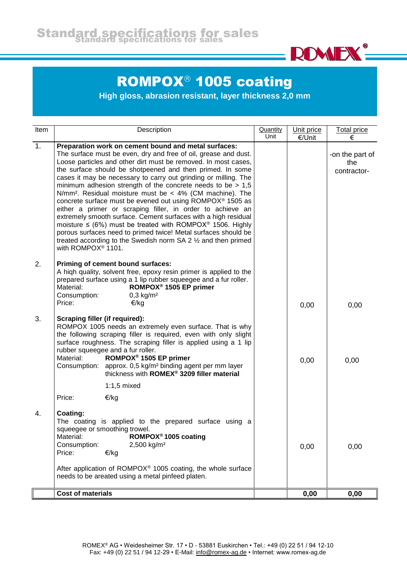

## ROMPOX<sup>®</sup> 1005 coating

**High gloss, abrasion resistant, layer thickness 2,0 mm**

| Item | Description                                                                                                                                                                                                                                                                                                                                                                                                                                                                                                                                                                                                                                                                                                                                                                                                                                                                                                                         | Quantity<br>Unit | Unit price<br>€/Unit | <b>Total price</b><br>€               |
|------|-------------------------------------------------------------------------------------------------------------------------------------------------------------------------------------------------------------------------------------------------------------------------------------------------------------------------------------------------------------------------------------------------------------------------------------------------------------------------------------------------------------------------------------------------------------------------------------------------------------------------------------------------------------------------------------------------------------------------------------------------------------------------------------------------------------------------------------------------------------------------------------------------------------------------------------|------------------|----------------------|---------------------------------------|
| 1.   | Preparation work on cement bound and metal surfaces:<br>The surface must be even, dry and free of oil, grease and dust.<br>Loose particles and other dirt must be removed. In most cases,<br>the surface should be shotpeened and then primed. In some<br>cases it may be necessary to carry out grinding or milling. The<br>minimum adhesion strength of the concrete needs to be $> 1.5$<br>N/mm <sup>2</sup> . Residual moisture must be $\lt$ 4% (CM machine). The<br>concrete surface must be evened out using ROMPOX <sup>®</sup> 1505 as<br>either a primer or scraping filler, in order to achieve an<br>extremely smooth surface. Cement surfaces with a high residual<br>moisture $\leq$ (6%) must be treated with ROMPOX <sup>®</sup> 1506. Highly<br>porous surfaces need to primed twice! Metal surfaces should be<br>treated according to the Swedish norm SA 2 1/2 and then primed<br>with ROMPOX <sup>®</sup> 1101. |                  |                      | -on the part of<br>the<br>contractor- |
| 2.   | Priming of cement bound surfaces:<br>A high quality, solvent free, epoxy resin primer is applied to the<br>prepared surface using a 1 lip rubber squeegee and a fur roller.<br>ROMPOX <sup>®</sup> 1505 EP primer<br>Material:<br>Consumption:<br>$0,3$ kg/m <sup>2</sup><br>Price:<br>€/kg                                                                                                                                                                                                                                                                                                                                                                                                                                                                                                                                                                                                                                         |                  | 0,00                 | 0,00                                  |
| 3.   | Scraping filler (if required):<br>ROMPOX 1005 needs an extremely even surface. That is why<br>the following scraping filler is required, even with only slight<br>surface roughness. The scraping filler is applied using a 1 lip<br>rubber squeegee and a fur roller.<br>ROMPOX <sup>®</sup> 1505 EP primer<br>Material:<br>approx. 0,5 kg/m <sup>2</sup> binding agent per mm layer<br>Consumption:<br>thickness with ROMEX® 3209 filler material                                                                                                                                                                                                                                                                                                                                                                                                                                                                                 |                  | 0,00                 | 0,00                                  |
|      | $1:1,5$ mixed<br>Price:<br>€/kg                                                                                                                                                                                                                                                                                                                                                                                                                                                                                                                                                                                                                                                                                                                                                                                                                                                                                                     |                  |                      |                                       |
| 4.   | Coating:<br>The coating is applied to the prepared surface using a<br>squeegee or smoothing trowel.<br>ROMPOX <sup>®</sup> 1005 coating<br>Material:<br>Consumption:<br>2,500 kg/m <sup>2</sup><br>Price:<br>€/kg<br>After application of ROMPOX <sup>®</sup> 1005 coating, the whole surface<br>needs to be areated using a metal pinfeed platen.                                                                                                                                                                                                                                                                                                                                                                                                                                                                                                                                                                                  |                  | 0,00                 | 0,00                                  |
|      | <b>Cost of materials</b>                                                                                                                                                                                                                                                                                                                                                                                                                                                                                                                                                                                                                                                                                                                                                                                                                                                                                                            |                  | 0,00                 | 0,00                                  |